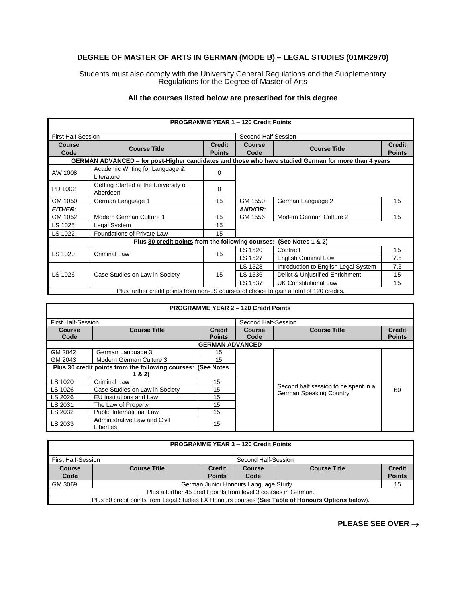## **DEGREE OF MASTER OF ARTS IN GERMAN (MODE B) – LEGAL STUDIES (01MR2970)**

Students must also comply with the University General Regulations and the Supplementary Regulations for the Degree of Master of Arts

## **All the courses listed below are prescribed for this degree**

|                                                                           |                                                                                                      |               | <b>PROGRAMME YEAR 1 - 120 Credit Points</b> |                                      |               |
|---------------------------------------------------------------------------|------------------------------------------------------------------------------------------------------|---------------|---------------------------------------------|--------------------------------------|---------------|
| <b>First Half Session</b>                                                 |                                                                                                      |               | Second Half Session                         |                                      |               |
| <b>Course</b>                                                             | <b>Course Title</b>                                                                                  | <b>Credit</b> | Course                                      | <b>Course Title</b>                  | <b>Credit</b> |
| Code                                                                      |                                                                                                      | <b>Points</b> | Code                                        |                                      | <b>Points</b> |
|                                                                           | GERMAN ADVANCED - for post-Higher candidates and those who have studied German for more than 4 years |               |                                             |                                      |               |
| AW 1008                                                                   | Academic Writing for Language &<br>Literature                                                        | 0             |                                             |                                      |               |
| PD 1002                                                                   | Getting Started at the University of<br>Aberdeen                                                     | 0             |                                             |                                      |               |
| GM 1050                                                                   | German Language 1                                                                                    | 15            | GM 1550                                     | German Language 2                    | 15            |
| <b>EITHER:</b>                                                            |                                                                                                      |               | AND/OR:                                     |                                      |               |
| GM 1052                                                                   | Modern German Culture 1                                                                              | 15            | GM 1556                                     | Modern German Culture 2              | 15            |
| LS 1025                                                                   | Legal System                                                                                         | 15            |                                             |                                      |               |
| LS 1022                                                                   | Foundations of Private Law                                                                           | 15            |                                             |                                      |               |
| Plus 30 credit points from the following courses:<br>(See Notes $1 & 2$ ) |                                                                                                      |               |                                             |                                      |               |
|                                                                           |                                                                                                      |               | LS 1520                                     | Contract                             | 15            |
| LS 1020                                                                   | <b>Criminal Law</b>                                                                                  | 15            | LS 1527                                     | English Criminal Law                 | 7.5           |
|                                                                           |                                                                                                      |               | LS 1528                                     | Introduction to English Legal System | 7.5           |
| LS 1026                                                                   | Case Studies on Law in Society                                                                       | 15            | LS 1536                                     | Delict & Unjustified Enrichment      | 15            |
|                                                                           |                                                                                                      |               | LS 1537                                     | <b>UK Constitutional Law</b>         | 15            |
|                                                                           | Plus further credit points from non-LS courses of choice to gain a total of 120 credits.             |               |                                             |                                      |               |

|                           |                                                              |                                | <b>PROGRAMME YEAR 2 - 120 Credit Points</b> |                                                                 |                                |
|---------------------------|--------------------------------------------------------------|--------------------------------|---------------------------------------------|-----------------------------------------------------------------|--------------------------------|
| <b>First Half-Session</b> |                                                              |                                | Second Half-Session                         |                                                                 |                                |
| <b>Course</b>             | <b>Course Title</b>                                          | <b>Credit</b><br><b>Points</b> | <b>Course</b><br>Code                       | <b>Course Title</b>                                             | <b>Credit</b><br><b>Points</b> |
| Code                      |                                                              |                                |                                             |                                                                 |                                |
|                           |                                                              | <b>GERMAN ADVANCED</b>         |                                             |                                                                 |                                |
| GM 2042                   | German Language 3                                            | 15                             |                                             |                                                                 |                                |
| GM 2043                   | Modern German Culture 3                                      | 15                             |                                             |                                                                 |                                |
|                           | Plus 30 credit points from the following courses: (See Notes |                                |                                             |                                                                 |                                |
|                           | 1 & 2)                                                       |                                |                                             |                                                                 |                                |
| LS 1020                   | <b>Criminal Law</b>                                          | 15                             |                                             |                                                                 |                                |
| LS 1026                   | Case Studies on Law in Society                               | 15                             |                                             | Second half session to be spent in a<br>German Speaking Country | 60                             |
| LS 2026                   | <b>EU Institutions and Law</b>                               | 15                             |                                             |                                                                 |                                |
| LS 2031                   | The Law of Property                                          | 15                             |                                             |                                                                 |                                |
| LS 2032                   | Public International Law                                     | 15                             |                                             |                                                                 |                                |
| LS 2033                   | Administrative Law and Civil<br>Liberties                    | 15                             |                                             |                                                                 |                                |

| <b>PROGRAMME YEAR 3-120 Credit Points</b>                                                         |                     |               |                                      |                     |               |
|---------------------------------------------------------------------------------------------------|---------------------|---------------|--------------------------------------|---------------------|---------------|
| First Half-Session<br>Second Half-Session                                                         |                     |               |                                      |                     |               |
| Course                                                                                            | <b>Course Title</b> | <b>Credit</b> | Course                               | <b>Course Title</b> | <b>Credit</b> |
| Code                                                                                              |                     | <b>Points</b> | Code                                 |                     | <b>Points</b> |
| GM 3069                                                                                           |                     |               | German Junior Honours Language Study |                     | 15            |
| Plus a further 45 credit points from level 3 courses in German.                                   |                     |               |                                      |                     |               |
| Plus 60 credit points from Legal Studies LX Honours courses (See Table of Honours Options below). |                     |               |                                      |                     |               |

**PLEASE SEE OVER** →